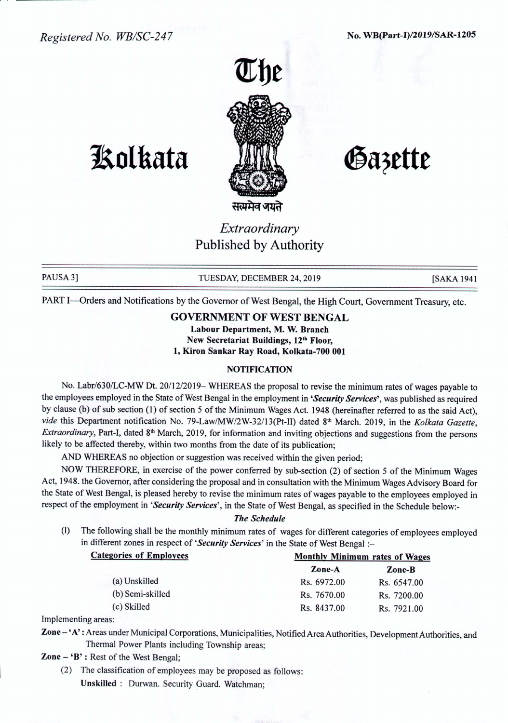*Registered No. WB/SC-247* No. WB(Part-I)/2019/SAR-1205

**JAolkata**





Gazette

# *Extraordinary* Published by Authority

सत्यमव जयते

PAUSA 3] TUESDAY, DECEMBER 24, 2019 [SAKA 1941

PART I-Orders and Notifications by the Governor of West Bengal, the High Court, Government Treasury, etc.

## GOVERNMENT OF WEST BENGAL

Labour Department, M. W. Branch New Secretariat Buildings, 12<sup>th</sup> Floor, 1, Kiron Sankar Ray Road, Kolkata-700 001

## **NOTIFICATION**

No. Labr/630/LC-MW Dt. 20/12/2019- WHEREAS the proposal to revise the minimum rates of wages payable to the employees employed in the State of West Bengal in the employment in *'Security Services',* was published as required by clause (b) of sub section (1) of section 5 of the Minimum Wages Act. 1948 (hereinafter referred to as the said Act), *vide* this Department notification No. 79-Law/MW/2W-32/13(Pt-II) dated 8th March. 2019, in the *Kolkata Gazette, Extraordinary*, Part-I, dated 8<sup>th</sup> March, 2019, for information and inviting objections and suggestions from the persons likely to be affected thereby, within two months from the date of its publication;

AND WHEREAS no objection or suggestion was received within the given period;

NOW THEREFORE, in exercise of the power conferred by sub-section (2) of section 5 of the Minimum Wages Act, 1948. the Governor, after considering the proposal and in consultation with the Minimum Wages Advisory Board for the State of West Bengal, is pleased hereby to revise the minimum rates of wages payable to the employees employed in respect of the employment in *'Security Services',* in the State of West Bengal, as specified in the Schedule below:-

### *The Schedule*

(1) The following shall be the monthly minimum rates of wages for different categories of employees employed in different zones in respect of 'Security Services' in the State of West Bengal :-

| <b>Categories of Employees</b> | <b>Monthly Minimum rates of Wages</b> |             |
|--------------------------------|---------------------------------------|-------------|
|                                | Zone-A                                | Zone-B      |
| (a) Unskilled                  | Rs. 6972.00                           | Rs. 6547.00 |
| (b) Semi-skilled               | Rs. 7670.00                           | Rs. 7200.00 |
| (c) Skilled                    | Rs. 8437.00                           | Rs. 7921.00 |
|                                |                                       |             |

Implementing areas:

Zone - 'A': Areas under Municipal Corporations, Municipalities, Notified Area Authorities, Development Authorities, and Thermal Power Plants including Township areas;

Zone - 'B' : Rest of the West Bengal;

(2) The classification of employees may be proposed as follows: Unskilled: Durwan. Security Guard. Watchman;